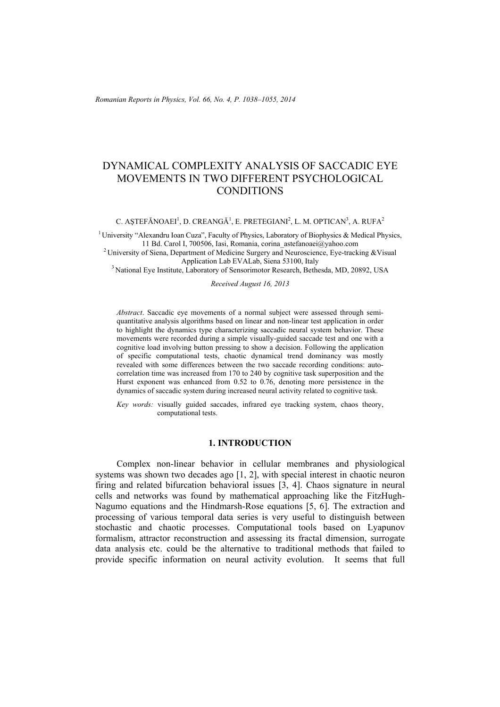*Romanian Reports in Physics, Vol. 66, No. 4, P. 1038–1055, 2014*

# DYNAMICAL COMPLEXITY ANALYSIS OF SACCADIC EYE MOVEMENTS IN TWO DIFFERENT PSYCHOLOGICAL **CONDITIONS**

C. AȘTEFĂNOAEI<sup>1</sup>, D. CREANGĂ<sup>1</sup>, E. PRETEGIANI<sup>2</sup>, L. M. OPTICAN<sup>3</sup>, A. RUFA<sup>2</sup>

<sup>1</sup> University "Alexandru Ioan Cuza", Faculty of Physics, Laboratory of Biophysics & Medical Physics, 11 Bd. Carol I, 700506, Iasi, Romania, corina astefanoaei@yahoo.com

<sup>2</sup> University of Siena, Department of Medicine Surgery and Neuroscience, Eye-tracking &Visual <sup>3</sup> National Eye Institute, Laboratory of Sensorimotor Research, Bethesda, MD, 20892, USA

*Received August 16, 2013* 

*Abstract*. Saccadic eye movements of a normal subject were assessed through semiquantitative analysis algorithms based on linear and non-linear test application in order to highlight the dynamics type characterizing saccadic neural system behavior. These movements were recorded during a simple visually-guided saccade test and one with a cognitive load involving button pressing to show a decision. Following the application of specific computational tests, chaotic dynamical trend dominancy was mostly revealed with some differences between the two saccade recording conditions: autocorrelation time was increased from 170 to 240 by cognitive task superposition and the Hurst exponent was enhanced from 0.52 to 0.76, denoting more persistence in the dynamics of saccadic system during increased neural activity related to cognitive task.

*Key words:* visually guided saccades, infrared eye tracking system, chaos theory, computational tests.

#### **1. INTRODUCTION**

Complex non-linear behavior in cellular membranes and physiological systems was shown two decades ago [1, 2], with special interest in chaotic neuron firing and related bifurcation behavioral issues [3, 4]. Chaos signature in neural cells and networks was found by mathematical approaching like the FitzHugh-Nagumo equations and the Hindmarsh-Rose equations [5, 6]. The extraction and processing of various temporal data series is very useful to distinguish between stochastic and chaotic processes. Computational tools based on Lyapunov formalism, attractor reconstruction and assessing its fractal dimension, surrogate data analysis etc. could be the alternative to traditional methods that failed to provide specific information on neural activity evolution. It seems that full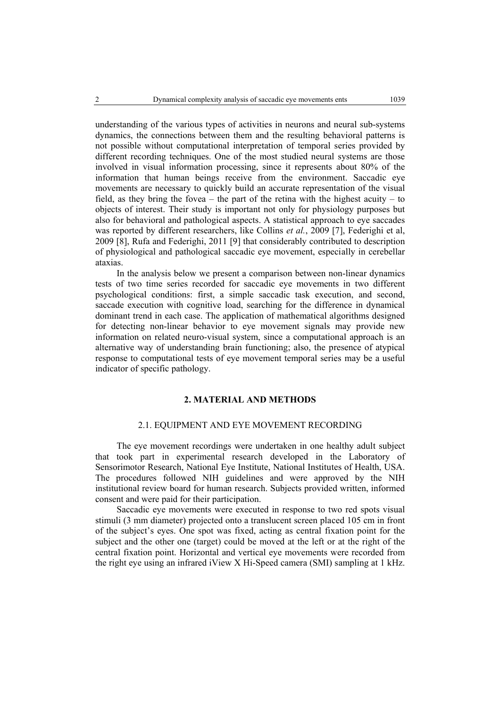understanding of the various types of activities in neurons and neural sub-systems dynamics, the connections between them and the resulting behavioral patterns is not possible without computational interpretation of temporal series provided by different recording techniques. One of the most studied neural systems are those involved in visual information processing, since it represents about 80% of the information that human beings receive from the environment. Saccadic eye movements are necessary to quickly build an accurate representation of the visual field, as they bring the fovea – the part of the retina with the highest acuity – to objects of interest. Their study is important not only for physiology purposes but also for behavioral and pathological aspects. A statistical approach to eye saccades was reported by different researchers, like Collins *et al.*, 2009 [7], Federighi et al, 2009 [8], Rufa and Federighi, 2011 [9] that considerably contributed to description of physiological and pathological saccadic eye movement, especially in cerebellar ataxias.

In the analysis below we present a comparison between non-linear dynamics tests of two time series recorded for saccadic eye movements in two different psychological conditions: first, a simple saccadic task execution, and second, saccade execution with cognitive load, searching for the difference in dynamical dominant trend in each case. The application of mathematical algorithms designed for detecting non-linear behavior to eye movement signals may provide new information on related neuro-visual system, since a computational approach is an alternative way of understanding brain functioning; also, the presence of atypical response to computational tests of eye movement temporal series may be a useful indicator of specific pathology.

# **2. MATERIAL AND METHODS**

#### 2.1. EQUIPMENT AND EYE MOVEMENT RECORDING

The eye movement recordings were undertaken in one healthy adult subject that took part in experimental research developed in the Laboratory of Sensorimotor Research, National Eye Institute, National Institutes of Health, USA. The procedures followed NIH guidelines and were approved by the NIH institutional review board for human research. Subjects provided written, informed consent and were paid for their participation.

Saccadic eye movements were executed in response to two red spots visual stimuli (3 mm diameter) projected onto a translucent screen placed 105 cm in front of the subject's eyes. One spot was fixed, acting as central fixation point for the subject and the other one (target) could be moved at the left or at the right of the central fixation point. Horizontal and vertical eye movements were recorded from the right eye using an infrared iView X Hi-Speed camera (SMI) sampling at 1 kHz.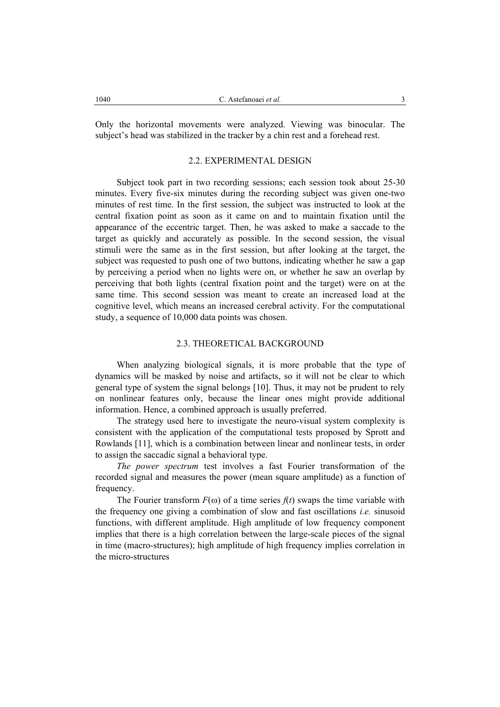Only the horizontal movements were analyzed. Viewing was binocular. The subject's head was stabilized in the tracker by a chin rest and a forehead rest.

# 2.2. EXPERIMENTAL DESIGN

Subject took part in two recording sessions; each session took about 25-30 minutes. Every five-six minutes during the recording subject was given one-two minutes of rest time. In the first session, the subject was instructed to look at the central fixation point as soon as it came on and to maintain fixation until the appearance of the eccentric target. Then, he was asked to make a saccade to the target as quickly and accurately as possible. In the second session, the visual stimuli were the same as in the first session, but after looking at the target, the subject was requested to push one of two buttons, indicating whether he saw a gap by perceiving a period when no lights were on, or whether he saw an overlap by perceiving that both lights (central fixation point and the target) were on at the same time. This second session was meant to create an increased load at the cognitive level, which means an increased cerebral activity. For the computational study, a sequence of 10,000 data points was chosen.

# 2.3. THEORETICAL BACKGROUND

When analyzing biological signals, it is more probable that the type of dynamics will be masked by noise and artifacts, so it will not be clear to which general type of system the signal belongs [10]. Thus, it may not be prudent to rely on nonlinear features only, because the linear ones might provide additional information. Hence, a combined approach is usually preferred.

The strategy used here to investigate the neuro-visual system complexity is consistent with the application of the computational tests proposed by Sprott and Rowlands [11], which is a combination between linear and nonlinear tests, in order to assign the saccadic signal a behavioral type.

*The power spectrum* test involves a fast Fourier transformation of the recorded signal and measures the power (mean square amplitude) as a function of frequency.

The Fourier transform  $F(\omega)$  of a time series  $f(t)$  swaps the time variable with the frequency one giving a combination of slow and fast oscillations *i.e.* sinusoid functions, with different amplitude. High amplitude of low frequency component implies that there is a high correlation between the large-scale pieces of the signal in time (macro-structures); high amplitude of high frequency implies correlation in the micro-structures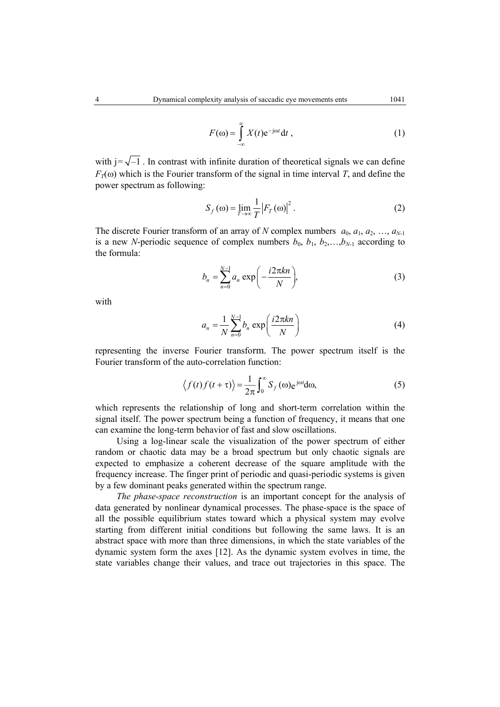$$
F(\omega) = \int_{-\infty}^{\infty} X(t) e^{-j\omega t} dt,
$$
 (1)

with  $j=\sqrt{-1}$ . In contrast with infinite duration of theoretical signals we can define  $F_T(\omega)$  which is the Fourier transform of the signal in time interval *T*, and define the power spectrum as following:

$$
S_f(\omega) = \lim_{T \to \infty} \frac{1}{T} |F_T(\omega)|^2.
$$
 (2)

The discrete Fourier transform of an array of *N* complex numbers  $a_0, a_1, a_2, ..., a_{N-1}$ is a new *N*-periodic sequence of complex numbers  $b_0$ ,  $b_1$ ,  $b_2$ ,..., $b_{N-1}$  according to the formula:

$$
b_n = \sum_{n=0}^{N-1} a_n \exp\left(-\frac{i2\pi kn}{N}\right),\tag{3}
$$

with

$$
a_n = \frac{1}{N} \sum_{n=0}^{N-1} b_n \exp\left(\frac{i2\pi kn}{N}\right)
$$
 (4)

representing the inverse Fourier transform. The power spectrum itself is the Fourier transform of the auto-correlation function:

$$
\langle f(t)f(t+\tau)\rangle = \frac{1}{2\pi} \int_0^\infty S_f(\omega) e^{j\omega t} d\omega,
$$
 (5)

which represents the relationship of long and short-term correlation within the signal itself. The power spectrum being a function of frequency, it means that one can examine the long-term behavior of fast and slow oscillations.

Using a log-linear scale the visualization of the power spectrum of either random or chaotic data may be a broad spectrum but only chaotic signals are expected to emphasize a coherent decrease of the square amplitude with the frequency increase. The finger print of periodic and quasi-periodic systems is given by a few dominant peaks generated within the spectrum range.

*The phase-space reconstruction* is an important concept for the analysis of data generated by nonlinear dynamical processes. The phase-space is the space of all the possible equilibrium states toward which a physical system may evolve starting from different initial conditions but following the same laws. It is an abstract space with more than three dimensions, in which the state variables of the dynamic system form the axes [12]. As the dynamic system evolves in time, the state variables change their values, and trace out trajectories in this space. The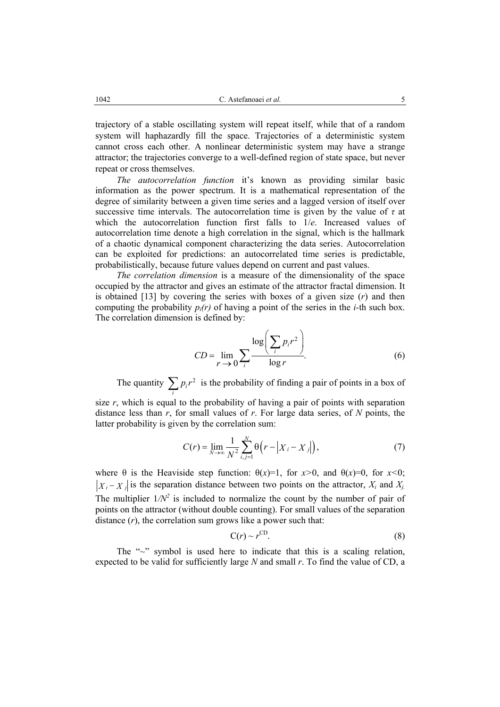trajectory of a stable oscillating system will repeat itself, while that of a random system will haphazardly fill the space. Trajectories of a deterministic system cannot cross each other. A nonlinear deterministic system may have a strange attractor; the trajectories converge to a well-defined region of state space, but never repeat or cross themselves.

*The autocorrelation function* it's known as providing similar basic information as the power spectrum. It is a mathematical representation of the degree of similarity between a given time series and a lagged version of itself over successive time intervals. The autocorrelation time is given by the value of  $\tau$  at which the autocorrelation function first falls to 1/*e*. Increased values of autocorrelation time denote a high correlation in the signal, which is the hallmark of a chaotic dynamical component characterizing the data series. Autocorrelation can be exploited for predictions: an autocorrelated time series is predictable, probabilistically, because future values depend on current and past values.

*The correlation dimension* is a measure of the dimensionality of the space occupied by the attractor and gives an estimate of the attractor fractal dimension. It is obtained [13] by covering the series with boxes of a given size (*r*) and then computing the probability  $p_i(r)$  of having a point of the series in the *i*-th such box. The correlation dimension is defined by:

$$
CD = \lim_{r \to 0} \sum_{i} \frac{\log \left( \sum_{i} p_i r^2 \right)}{\log r}.
$$
 (6)

The quantity  $\sum_{i} p_i r^2$  is the probability of finding a pair of points in a box of

size *r*, which is equal to the probability of having a pair of points with separation distance less than *r*, for small values of *r*. For large data series, of *N* points, the latter probability is given by the correlation sum:

$$
C(r) = \lim_{N \to \infty} \frac{1}{N^2} \sum_{i,j=1}^{N} \Theta(r - |X_i - X_j|),
$$
 (7)

where  $\theta$  is the Heaviside step function:  $\theta(x)=1$ , for  $x>0$ , and  $\theta(x)=0$ , for  $x<0$ ;  $|X_i - X_j|$  is the separation distance between two points on the attractor,  $X_i$  and  $X_i$ . The multiplier  $1/N^2$  is included to normalize the count by the number of pair of points on the attractor (without double counting). For small values of the separation distance (*r*), the correlation sum grows like a power such that:

$$
C(r) \sim r^{\rm CD}.\tag{8}
$$

The "~" symbol is used here to indicate that this is a scaling relation, expected to be valid for sufficiently large *N* and small *r*. To find the value of CD, a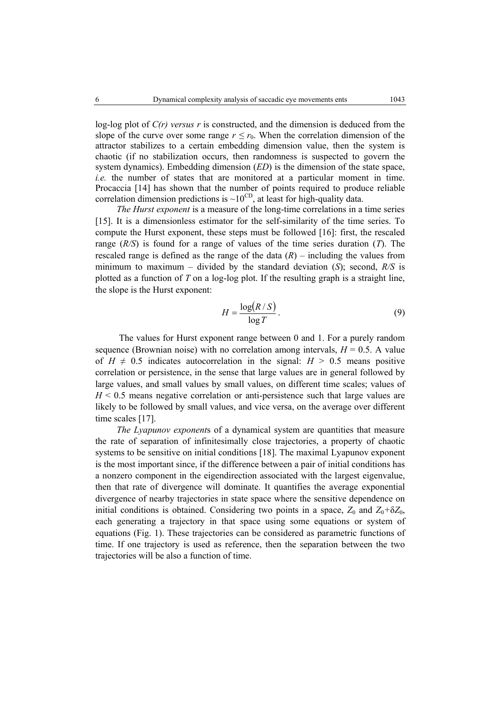log-log plot of *C(r) versus r* is constructed, and the dimension is deduced from the slope of the curve over some range  $r \le r_0$ . When the correlation dimension of the attractor stabilizes to a certain embedding dimension value, then the system is chaotic (if no stabilization occurs, then randomness is suspected to govern the system dynamics). Embedding dimension (*ED*) is the dimension of the state space, *i.e.* the number of states that are monitored at a particular moment in time. Procaccia [14] has shown that the number of points required to produce reliable correlation dimension predictions is  $\sim 10^{CD}$ , at least for high-quality data.

*The Hurst exponent* is a measure of the long-time correlations in a time series [15]. It is a dimensionless estimator for the self-similarity of the time series. To compute the Hurst exponent, these steps must be followed [16]: first, the rescaled range (*R/S*) is found for a range of values of the time series duration (*T*). The rescaled range is defined as the range of the data  $(R)$  – including the values from minimum to maximum – divided by the standard deviation (*S*); second, *R/S* is plotted as a function of *T* on a log-log plot. If the resulting graph is a straight line, the slope is the Hurst exponent:

$$
H = \frac{\log(R/S)}{\log T}.
$$
 (9)

 The values for Hurst exponent range between 0 and 1. For a purely random sequence (Brownian noise) with no correlation among intervals,  $H = 0.5$ . A value of  $H \neq 0.5$  indicates autocorrelation in the signal:  $H > 0.5$  means positive correlation or persistence, in the sense that large values are in general followed by large values, and small values by small values, on different time scales; values of *H* < 0.5 means negative correlation or anti-persistence such that large values are likely to be followed by small values, and vice versa, on the average over different time scales [17].

*The Lyapunov exponent*s of a dynamical system are quantities that measure the rate of separation of infinitesimally close trajectories, a property of chaotic systems to be sensitive on initial conditions [18]. The maximal Lyapunov exponent is the most important since, if the difference between a pair of initial conditions has a nonzero component in the eigendirection associated with the largest eigenvalue, then that rate of divergence will dominate. It quantifies the average exponential divergence of nearby trajectories in state space where the sensitive dependence on initial conditions is obtained. Considering two points in a space,  $Z_0$  and  $Z_0 + \delta Z_0$ , each generating a trajectory in that space using some equations or system of equations (Fig. 1). These trajectories can be considered as parametric functions of time. If one trajectory is used as reference, then the separation between the two trajectories will be also a function of time.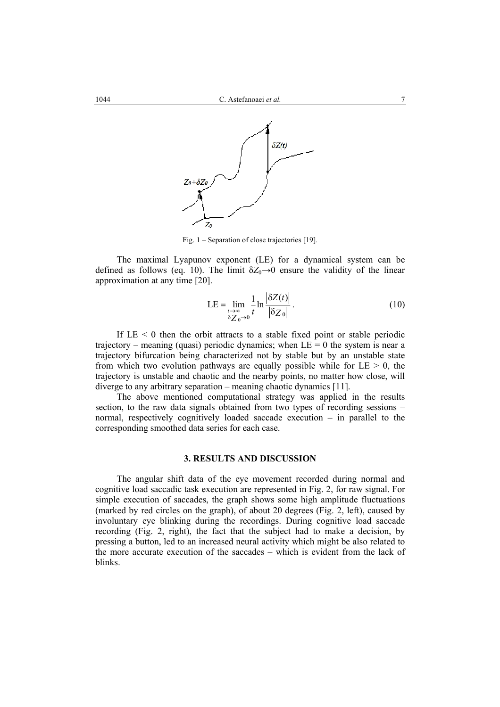

Fig. 1 – Separation of close trajectories [19].

The maximal Lyapunov exponent (LE) for a dynamical system can be defined as follows (eq. 10). The limit  $\delta Z_0 \rightarrow 0$  ensure the validity of the linear approximation at any time [20].

$$
LE = \lim_{\substack{t \to \infty \\ \delta Z_0 \to 0}} \frac{1}{t} \ln \frac{|\delta Z(t)|}{|\delta Z_0|} \,. \tag{10}
$$

If  $LE < 0$  then the orbit attracts to a stable fixed point or stable periodic trajectory – meaning (quasi) periodic dynamics; when  $LE = 0$  the system is near a trajectory bifurcation being characterized not by stable but by an unstable state from which two evolution pathways are equally possible while for  $LE > 0$ , the trajectory is unstable and chaotic and the nearby points, no matter how close, will diverge to any arbitrary separation – meaning chaotic dynamics [11].

The above mentioned computational strategy was applied in the results section, to the raw data signals obtained from two types of recording sessions – normal, respectively cognitively loaded saccade execution – in parallel to the corresponding smoothed data series for each case.

# **3. RESULTS AND DISCUSSION**

The angular shift data of the eye movement recorded during normal and cognitive load saccadic task execution are represented in Fig. 2, for raw signal. For simple execution of saccades, the graph shows some high amplitude fluctuations (marked by red circles on the graph), of about 20 degrees (Fig. 2, left), caused by involuntary eye blinking during the recordings. During cognitive load saccade recording (Fig. 2, right), the fact that the subject had to make a decision, by pressing a button, led to an increased neural activity which might be also related to the more accurate execution of the saccades – which is evident from the lack of blinks.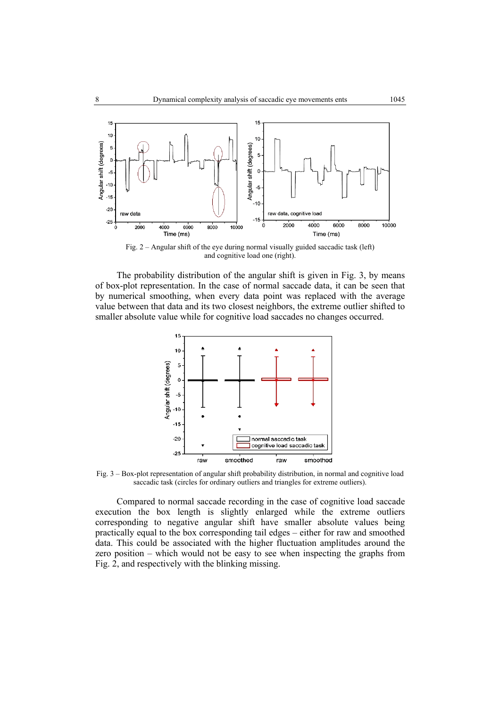

Fig. 2 – Angular shift of the eye during normal visually guided saccadic task (left) and cognitive load one (right).

The probability distribution of the angular shift is given in Fig. 3, by means of box-plot representation. In the case of normal saccade data, it can be seen that by numerical smoothing, when every data point was replaced with the average value between that data and its two closest neighbors, the extreme outlier shifted to smaller absolute value while for cognitive load saccades no changes occurred.



Fig. 3 – Box-plot representation of angular shift probability distribution, in normal and cognitive load saccadic task (circles for ordinary outliers and triangles for extreme outliers).

Compared to normal saccade recording in the case of cognitive load saccade execution the box length is slightly enlarged while the extreme outliers corresponding to negative angular shift have smaller absolute values being practically equal to the box corresponding tail edges – either for raw and smoothed data. This could be associated with the higher fluctuation amplitudes around the zero position – which would not be easy to see when inspecting the graphs from Fig. 2, and respectively with the blinking missing.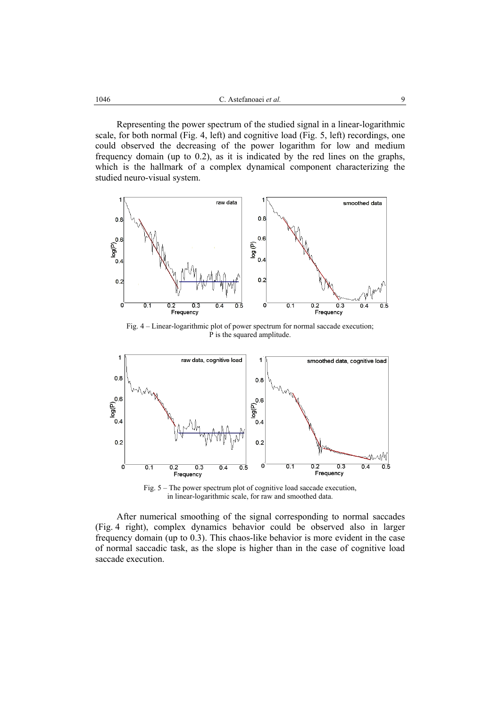Representing the power spectrum of the studied signal in a linear-logarithmic scale, for both normal (Fig. 4, left) and cognitive load (Fig. 5, left) recordings, one could observed the decreasing of the power logarithm for low and medium frequency domain (up to 0.2), as it is indicated by the red lines on the graphs, which is the hallmark of a complex dynamical component characterizing the studied neuro-visual system.



Fig. 4 – Linear-logarithmic plot of power spectrum for normal saccade execution; P is the squared amplitude.



Fig. 5 – The power spectrum plot of cognitive load saccade execution, in linear-logarithmic scale, for raw and smoothed data.

After numerical smoothing of the signal corresponding to normal saccades (Fig. 4 right), complex dynamics behavior could be observed also in larger frequency domain (up to 0.3). This chaos-like behavior is more evident in the case of normal saccadic task, as the slope is higher than in the case of cognitive load saccade execution.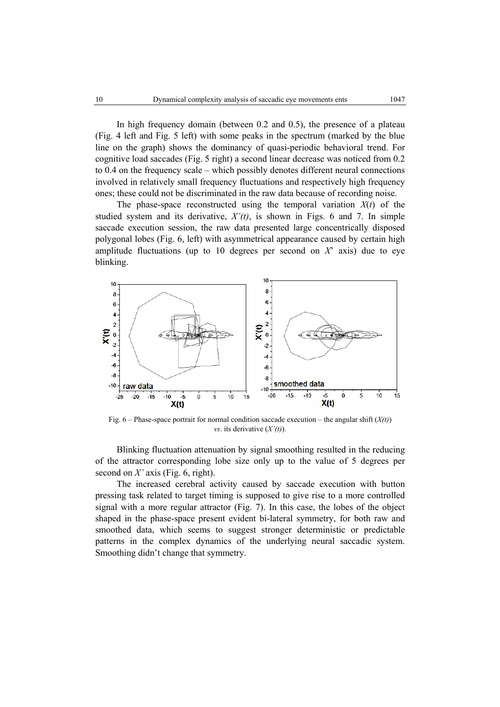In high frequency domain (between 0.2 and 0.5), the presence of a plateau (Fig. 4 left and Fig. 5 left) with some peaks in the spectrum (marked by the blue line on the graph) shows the dominancy of quasi-periodic behavioral trend. For cognitive load saccades (Fig. 5 right) a second linear decrease was noticed from 0.2 to 0.4 on the frequency scale – which possibly denotes different neural connections involved in relatively small frequency fluctuations and respectively high frequency ones; these could not be discriminated in the raw data because of recording noise.

The phase-space reconstructed using the temporal variation  $X(t)$  of the studied system and its derivative,  $X'(t)$ , is shown in Figs. 6 and 7. In simple saccade execution session, the raw data presented large concentrically disposed polygonal lobes (Fig. 6, left) with asymmetrical appearance caused by certain high amplitude fluctuations (up to 10 degrees per second on  $X^2$  axis) due to eye blinking.



Fig. 6 – Phase-space portrait for normal condition saccade execution – the angular shift (*X(t)*) *vs*. its derivative (*X'(t)*).

Blinking fluctuation attenuation by signal smoothing resulted in the reducing of the attractor corresponding lobe size only up to the value of 5 degrees per second on *X'* axis (Fig. 6, right).

The increased cerebral activity caused by saccade execution with button pressing task related to target timing is supposed to give rise to a more controlled signal with a more regular attractor (Fig. 7). In this case, the lobes of the object shaped in the phase-space present evident bi-lateral symmetry, for both raw and smoothed data, which seems to suggest stronger deterministic or predictable patterns in the complex dynamics of the underlying neural saccadic system. Smoothing didn't change that symmetry.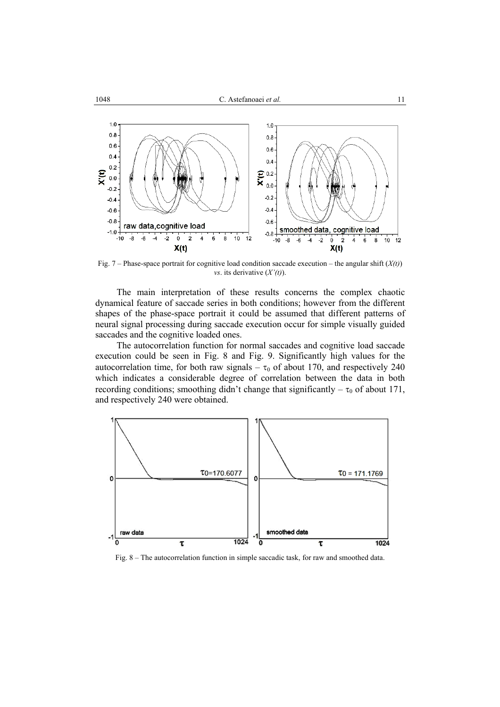

Fig. 7 – Phase-space portrait for cognitive load condition saccade execution – the angular shift  $(X(t))$ *vs*. its derivative (*X'(t)*).

The main interpretation of these results concerns the complex chaotic dynamical feature of saccade series in both conditions; however from the different shapes of the phase-space portrait it could be assumed that different patterns of neural signal processing during saccade execution occur for simple visually guided saccades and the cognitive loaded ones.

The autocorrelation function for normal saccades and cognitive load saccade execution could be seen in Fig. 8 and Fig. 9. Significantly high values for the autocorrelation time, for both raw signals –  $\tau_0$  of about 170, and respectively 240 which indicates a considerable degree of correlation between the data in both recording conditions; smoothing didn't change that significantly  $-\tau_0$  of about 171, and respectively 240 were obtained.



Fig. 8 – The autocorrelation function in simple saccadic task, for raw and smoothed data.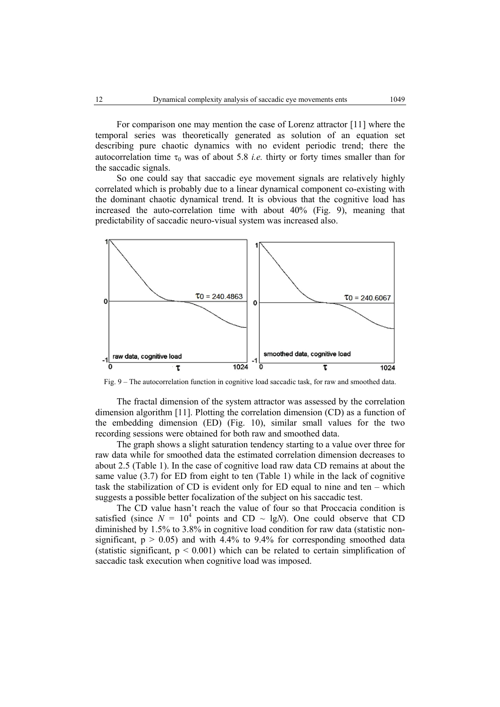For comparison one may mention the case of Lorenz attractor [11] where the temporal series was theoretically generated as solution of an equation set describing pure chaotic dynamics with no evident periodic trend; there the autocorrelation time  $\tau_0$  was of about 5.8 *i.e.* thirty or forty times smaller than for the saccadic signals.

So one could say that saccadic eye movement signals are relatively highly correlated which is probably due to a linear dynamical component co-existing with the dominant chaotic dynamical trend. It is obvious that the cognitive load has increased the auto-correlation time with about 40% (Fig. 9), meaning that predictability of saccadic neuro-visual system was increased also.



Fig. 9 – The autocorrelation function in cognitive load saccadic task, for raw and smoothed data.

The fractal dimension of the system attractor was assessed by the correlation dimension algorithm [11]. Plotting the correlation dimension (CD) as a function of the embedding dimension (ED) (Fig. 10), similar small values for the two recording sessions were obtained for both raw and smoothed data.

The graph shows a slight saturation tendency starting to a value over three for raw data while for smoothed data the estimated correlation dimension decreases to about 2.5 (Table 1). In the case of cognitive load raw data CD remains at about the same value (3.7) for ED from eight to ten (Table 1) while in the lack of cognitive task the stabilization of CD is evident only for ED equal to nine and ten – which suggests a possible better focalization of the subject on his saccadic test.

The CD value hasn't reach the value of four so that Proccacia condition is satisfied (since  $N = 10^4$  points and CD ~ lg*N*). One could observe that CD diminished by 1.5% to 3.8% in cognitive load condition for raw data (statistic nonsignificant,  $p > 0.05$ ) and with 4.4% to 9.4% for corresponding smoothed data (statistic significant,  $p \leq 0.001$ ) which can be related to certain simplification of saccadic task execution when cognitive load was imposed.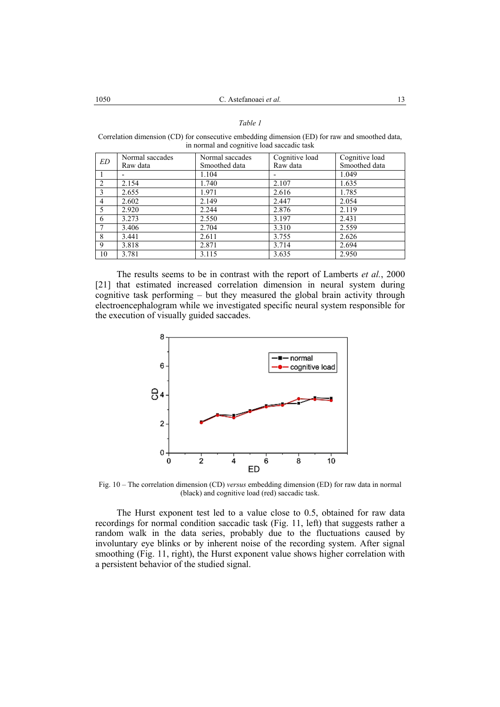#### *Table 1*

Correlation dimension (CD) for consecutive embedding dimension (ED) for raw and smoothed data, in normal and cognitive load saccadic task

| ED | Normal saccades | Normal saccades | Cognitive load           | Cognitive load |
|----|-----------------|-----------------|--------------------------|----------------|
|    | Raw data        | Smoothed data   | Raw data                 | Smoothed data  |
|    |                 | 1.104           | $\overline{\phantom{a}}$ | 1.049          |
| 2  | 2.154           | 1.740           | 2.107                    | 1.635          |
| 3  | 2.655           | 1.971           | 2.616                    | 1.785          |
| 4  | 2.602           | 2.149           | 2.447                    | 2.054          |
| 5  | 2.920           | 2.244           | 2.876                    | 2.119          |
| 6  | 3.273           | 2.550           | 3.197                    | 2.431          |
| 7  | 3.406           | 2.704           | 3.310                    | 2.559          |
| 8  | 3.441           | 2.611           | 3.755                    | 2.626          |
| 9  | 3.818           | 2.871           | 3.714                    | 2.694          |
| 10 | 3.781           | 3.115           | 3.635                    | 2.950          |

The results seems to be in contrast with the report of Lamberts *et al.*, 2000 [21] that estimated increased correlation dimension in neural system during cognitive task performing – but they measured the global brain activity through electroencephalogram while we investigated specific neural system responsible for the execution of visually guided saccades.



Fig. 10 – The correlation dimension (CD) *versus* embedding dimension (ED) for raw data in normal (black) and cognitive load (red) saccadic task.

The Hurst exponent test led to a value close to 0.5, obtained for raw data recordings for normal condition saccadic task (Fig. 11, left) that suggests rather a random walk in the data series, probably due to the fluctuations caused by involuntary eye blinks or by inherent noise of the recording system. After signal smoothing (Fig. 11, right), the Hurst exponent value shows higher correlation with a persistent behavior of the studied signal.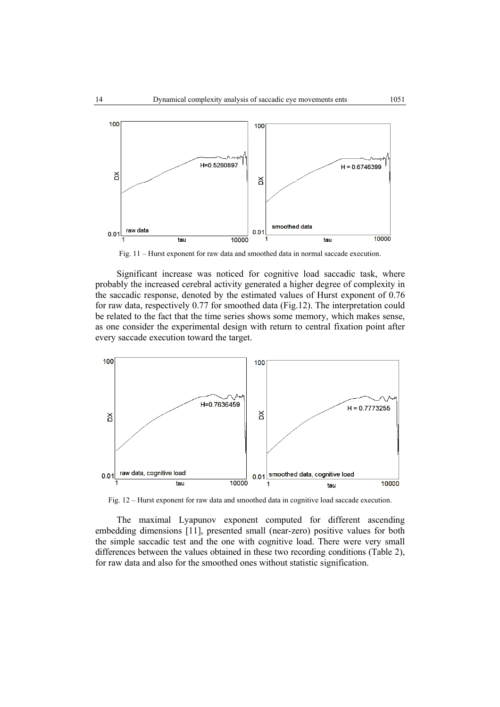

Fig. 11 – Hurst exponent for raw data and smoothed data in normal saccade execution.

Significant increase was noticed for cognitive load saccadic task, where probably the increased cerebral activity generated a higher degree of complexity in the saccadic response, denoted by the estimated values of Hurst exponent of 0.76 for raw data, respectively 0.77 for smoothed data (Fig.12). The interpretation could be related to the fact that the time series shows some memory, which makes sense, as one consider the experimental design with return to central fixation point after every saccade execution toward the target.



Fig. 12 – Hurst exponent for raw data and smoothed data in cognitive load saccade execution.

The maximal Lyapunov exponent computed for different ascending embedding dimensions [11], presented small (near-zero) positive values for both the simple saccadic test and the one with cognitive load. There were very small differences between the values obtained in these two recording conditions (Table 2), for raw data and also for the smoothed ones without statistic signification.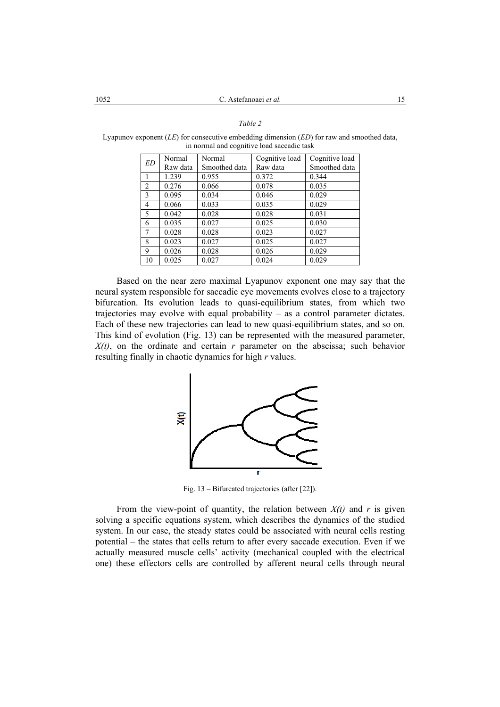### *Table 2*

Lyapunov exponent (*LE*) for consecutive embedding dimension (*ED*) for raw and smoothed data, in normal and cognitive load saccadic task

| ED              | Normal   | Normal        | Cognitive load | Cognitive load |
|-----------------|----------|---------------|----------------|----------------|
|                 | Raw data | Smoothed data | Raw data       | Smoothed data  |
|                 | 1.239    | 0.955         | 0.372          | 0.344          |
| 2               | 0.276    | 0.066         | 0.078          | 0.035          |
| 3               | 0.095    | 0.034         | 0.046          | 0.029          |
| 4               | 0.066    | 0.033         | 0.035          | 0.029          |
| 5               | 0.042    | 0.028         | 0.028          | 0.031          |
| 6               | 0.035    | 0.027         | 0.025          | 0.030          |
| $7\phantom{.0}$ | 0.028    | 0.028         | 0.023          | 0.027          |
| 8               | 0.023    | 0.027         | 0.025          | 0.027          |
| 9               | 0.026    | 0.028         | 0.026          | 0.029          |
| 10              | 0.025    | 0.027         | 0.024          | 0.029          |

Based on the near zero maximal Lyapunov exponent one may say that the neural system responsible for saccadic eye movements evolves close to a trajectory bifurcation. Its evolution leads to quasi-equilibrium states, from which two trajectories may evolve with equal probability – as a control parameter dictates. Each of these new trajectories can lead to new quasi-equilibrium states, and so on. This kind of evolution (Fig. 13) can be represented with the measured parameter, *X(t)*, on the ordinate and certain *r* parameter on the abscissa; such behavior resulting finally in chaotic dynamics for high *r* values.



Fig. 13 – Bifurcated trajectories (after [22]).

From the view-point of quantity, the relation between  $X(t)$  and  $r$  is given solving a specific equations system, which describes the dynamics of the studied system. In our case, the steady states could be associated with neural cells resting potential – the states that cells return to after every saccade execution. Even if we actually measured muscle cells' activity (mechanical coupled with the electrical one) these effectors cells are controlled by afferent neural cells through neural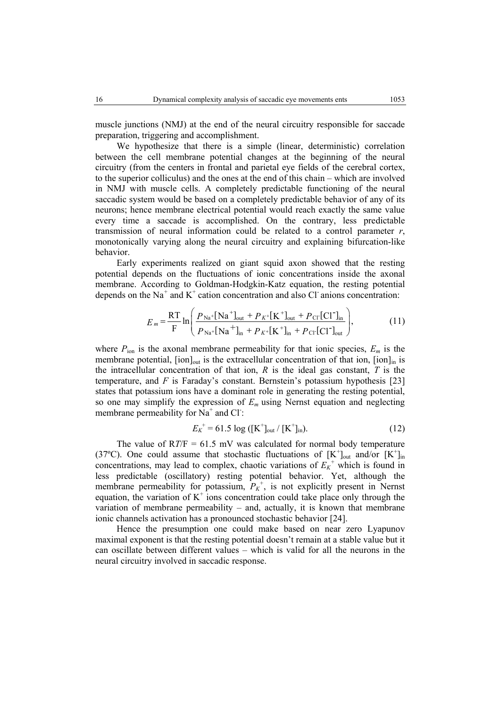muscle junctions (NMJ) at the end of the neural circuitry responsible for saccade preparation, triggering and accomplishment.

We hypothesize that there is a simple (linear, deterministic) correlation between the cell membrane potential changes at the beginning of the neural circuitry (from the centers in frontal and parietal eye fields of the cerebral cortex, to the superior colliculus) and the ones at the end of this chain – which are involved in NMJ with muscle cells. A completely predictable functioning of the neural saccadic system would be based on a completely predictable behavior of any of its neurons; hence membrane electrical potential would reach exactly the same value every time a saccade is accomplished. On the contrary, less predictable transmission of neural information could be related to a control parameter *r*, monotonically varying along the neural circuitry and explaining bifurcation-like behavior.

Early experiments realized on giant squid axon showed that the resting potential depends on the fluctuations of ionic concentrations inside the axonal membrane. According to Goldman-Hodgkin-Katz equation, the resting potential depends on the Na<sup>+</sup> and K<sup>+</sup> cation concentration and also Cl<sup>-</sup> anions concentration:

$$
E_m = \frac{RT}{F} \ln \left( \frac{P_{\text{Na}} + [\text{Na}^+]_{\text{out}} + P_{K^+}[\text{K}^+]_{\text{out}} + P_{\text{Cl}^-}[\text{Cl}^-]_{\text{in}}}{P_{\text{Na}} + [\text{Na}^+]_{\text{in}} + P_{K^+}[\text{K}^+]_{\text{in}} + P_{\text{Cl}^-}[\text{Cl}^-]_{\text{out}}} \right),\tag{11}
$$

where  $P_{\text{ion}}$  is the axonal membrane permeability for that ionic species,  $E_m$  is the membrane potential,  $\lceil \text{ion} \rceil_{\text{out}}$  is the extracellular concentration of that ion,  $\lceil \text{ion} \rceil_{\text{in}}$  is the intracellular concentration of that ion, *R* is the ideal gas constant, *T* is the temperature, and *F* is Faraday's constant. Bernstein's potassium hypothesis [23] states that potassium ions have a dominant role in generating the resting potential, so one may simplify the expression of  $E_m$  using Nernst equation and neglecting membrane permeability for  $\overline{Na}^+$  and Cl:

$$
E_K^+ = 61.5 \log ([K^+]_{out} / [K^+]_{in}). \tag{12}
$$

The value of  $RT/F = 61.5$  mV was calculated for normal body temperature (37°C). One could assume that stochastic fluctuations of  $[K^+]_{out}$  and/or  $[K^+]_{in}$ concentrations, may lead to complex, chaotic variations of  $E_K^+$  which is found in less predictable (oscillatory) resting potential behavior. Yet, although the membrane permeability for potassium,  $P_K^+$ , is not explicitly present in Nernst equation, the variation of  $K^+$  ions concentration could take place only through the variation of membrane permeability  $-$  and, actually, it is known that membrane ionic channels activation has a pronounced stochastic behavior [24].

Hence the presumption one could make based on near zero Lyapunov maximal exponent is that the resting potential doesn't remain at a stable value but it can oscillate between different values – which is valid for all the neurons in the neural circuitry involved in saccadic response.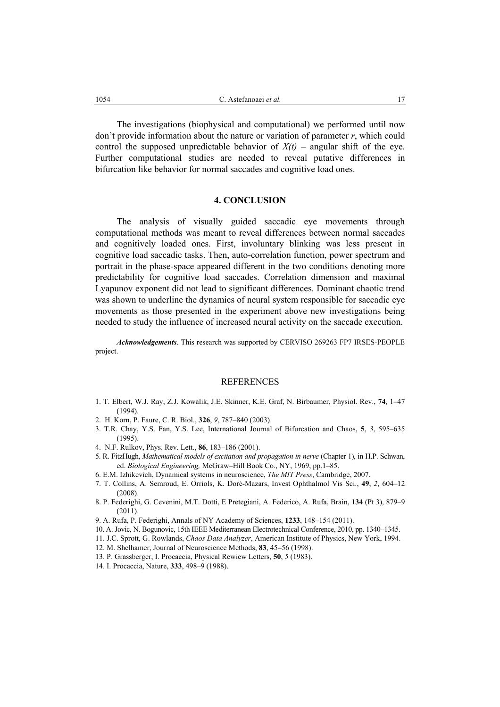The investigations (biophysical and computational) we performed until now don't provide information about the nature or variation of parameter *r*, which could control the supposed unpredictable behavior of  $X(t)$  – angular shift of the eye. Further computational studies are needed to reveal putative differences in bifurcation like behavior for normal saccades and cognitive load ones.

#### **4. CONCLUSION**

The analysis of visually guided saccadic eye movements through computational methods was meant to reveal differences between normal saccades and cognitively loaded ones. First, involuntary blinking was less present in cognitive load saccadic tasks. Then, auto-correlation function, power spectrum and portrait in the phase-space appeared different in the two conditions denoting more predictability for cognitive load saccades. Correlation dimension and maximal Lyapunov exponent did not lead to significant differences. Dominant chaotic trend was shown to underline the dynamics of neural system responsible for saccadic eye movements as those presented in the experiment above new investigations being needed to study the influence of increased neural activity on the saccade execution.

*Acknowledgements*. This research was supported by CERVISO 269263 FP7 IRSES-PEOPLE project.

# REFERENCES

- 1. T. Elbert, W.J. Ray, Z.J. Kowalik, J.E. Skinner, K.E. Graf, N. Birbaumer, Physiol. Rev., **74**, 1–47 (1994).
- 2. H. Korn, P. Faure, C. R. Biol., **326**, *9*, 787–840 (2003).
- 3. T.R. Chay, Y.S. Fan, Y.S. Lee, International Journal of Bifurcation and Chaos, **5**, *3*, 595–635 (1995).
- 4. N.F. Rulkov, Phys. Rev. Lett., **86**, 183–186 (2001).
- 5. R. FitzHugh, *Mathematical models of excitation and propagation in nerve* (Chapter 1), in H.P. Schwan, ed. *Biological Engineering,* McGraw–Hill Book Co., NY, 1969, pp.1–85.
- 6. E.M. Izhikevich, Dynamical systems in neuroscience, *The MIT Press*, Cambridge, 2007.
- 7. T. Collins, A. Semroud, E. Orriols, K. Doré-Mazars, Invest Ophthalmol Vis Sci., **49**, *2*, 604–12 (2008).
- 8. P. Federighi, G. Cevenini, M.T. Dotti, E Pretegiani, A. Federico, A. Rufa, Brain, **134** (Pt 3), 879–9 (2011).
- 9. A. Rufa, P. Federighi, Annals of NY Academy of Sciences, **1233**, 148–154 (2011).
- 10. A. Jovic, N. Bogunovic, 15th IEEE Mediterranean Electrotechnical Conference, 2010, pp. 1340–1345.
- 11. J.C. Sprott, G. Rowlands, *Chaos Data Analyzer*, American Institute of Physics, New York, 1994.
- 12. M. Shelhamer, Journal of Neuroscience Methods, **83**, 45–56 (1998).
- 13. P. Grassberger, I. Procaccia, Physical Rewiew Letters, **50**, *5* (1983).
- 14. I. Procaccia, Nature, **333**, 498–9 (1988).